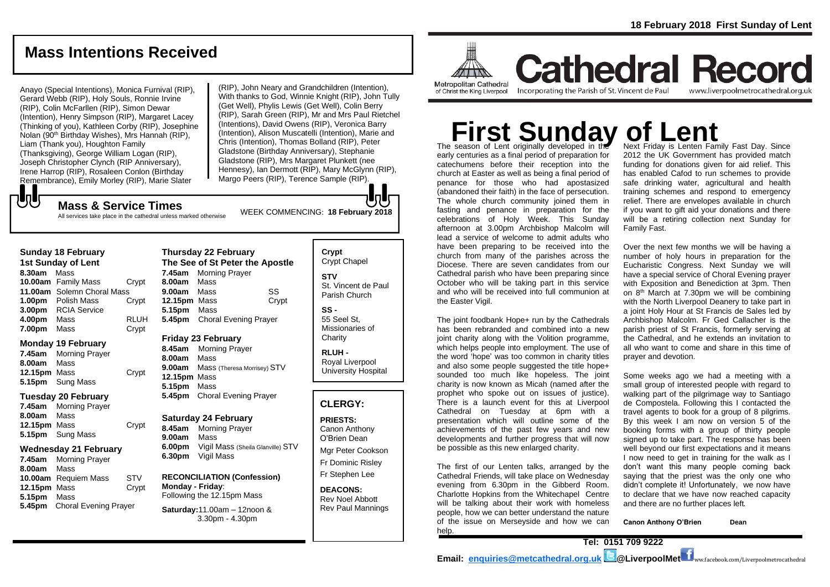# **Mass Intentions Received**

Anayo (Special Intentions), Monica Furnival (RIP), Gerard Webb (RIP), Holy Souls, Ronnie Irvine (RIP), Colin McFarllen (RIP), Simon Dewar (Intention), Henry Simpson (RIP), Margaret Lacey (Thinking of you), Kathleen Corby (RIP), Josephine Nolan (90th Birthday Wishes), Mrs Hannah (RIP), Liam (Thank you), Houghton Family (Thanksgiving), George William Logan (RIP), Joseph Christopher Clynch (RIP Anniversary), Irene Harrop (RIP), Rosaleen Conlon (Birthday Remembrance), Emily Morley (RIP), Marie Slater

(RIP), John Neary and Grandchildren (Intention), With thanks to God, Winnie Knight (RIP), John Tully (Get Well), Phylis Lewis (Get Well), Colin Berry (RIP), Sarah Green (RIP), Mr and Mrs Paul Rietchel (Intentions), David Owens (RIP), Veronica Barry (Intention), Alison Muscatelli (Intention), Marie and Chris (Intention), Thomas Bolland (RIP), Peter Gladstone (Birthday Anniversary), Stephanie Gladstone (RIP), Mrs Margaret Plunkett (nee Hennesy), Ian Dermott (RIP), Mary McGlynn (RIP), Margo Peers (RIP), Terence Sample (RIP).

# もし

WEEK COMMENCING: **<sup>18</sup> February <sup>2018</sup> Mass & Service Times** All services take place in the cathedral unless marked otherwise

#### **Sunday 18 February 1st Sunday of Lent 8.30am** Mass **10.00am** Family Mass Crypt

**11.00am** Solemn Choral Mass **1.00pm** Polish Mass Crypt **3.00pm** RCIA Service **4.00pm** Mass RLUH **7.00pm** Mass Crypt

#### **Monday 19 February**

**7.45am** Morning Prayer **8.00am** Mass **12.15pm** Mass Crypt **5.15pm** Sung Mass

#### **Tuesday 20 February**

**7.45am** Morning Prayer **8.00am** Mass **12.15pm** Mass Crypt **5.15pm** Sung Mass

#### **Wednesday 21 February**

**7.45am** Morning Prayer **8.00am** Mass **10.00am** Requiem Mass STV **12.15pm** Mass Crypt **5.15pm** Mass **5.45pm** Choral Evening Prayer

#### **Thursday 22 February The See of St Peter the Apostle 7.45am** Morning Prayer **8.00am** Mass **9.00am** Mass SS **12.15pm** Mass Crypt **5.15pm** Mass **5.45pm** Choral Evening Prayer

**Friday 23 February**

**8.45am** Morning Prayer **8.00am** Mass **9.00am** Mass (Theresa Morrisey) STV **12.15pm** Mass **5.15pm** Mass **5.45pm** Choral Evening Prayer

#### **Saturday 24 February**

**8.45am** Morning Prayer **9.00am** Mass **6.00pm** Vigil Mass (Sheila Glanville) STV **6.30pm** Vigil Mass

#### **RECONCILIATION (Confession) Monday - Friday**: Following the 12.15pm Mass

**Saturday:**11.00am – 12noon & 3.30pm - 4.30pm

#### **Crypt**  Crypt Chapel **STV** St. Vincent de Paul Parish Church

**SS -** 55 Seel St, Missionaries of **Charity** 

**RLUH -** Royal Liverpool University Hospital

#### **CLERGY:**

**PRIESTS:** Canon Anthony O'Brien *Dean*

Mgr Peter Cookson Fr Dominic Risley Fr Stephen Lee

**DEACONS:** Rev Noel Abbott Rev Paul Mannings

**ALLINA** Metropolitan Cathedral

of Christ the King Liverpool

Incorporating the Parish of St. Vincent de Paul

**Cathedral Record** www.liverpoolmetrocathedral.org.uk

# **First Sunday of Lent**

The season of Lent originally developed in the early centuries as a final period of preparation for catechumens before their reception into the church at Easter as well as being a final period of penance for those who had apostasized (abandoned their faith) in the face of persecution. The whole church community joined them in fasting and penance in preparation for the celebrations of Holy Week. This Sunday afternoon at 3.00pm Archbishop Malcolm will lead a service of welcome to admit adults who have been preparing to be received into the church from many of the parishes across the Diocese. There are seven candidates from our Cathedral parish who have been preparing since October who will be taking part in this service and who will be received into full communion at the Easter Vigil.

has been rebranded and combined into a new joint charity along with the Volition programme, which helps people into employment. The use of the word 'hope' was too common in charity titles and also some people suggested the title hope+ sounded too much like hopeless. The joint charity is now known as Micah (named after the prophet who spoke out on issues of justice). There is a launch event for this at Liverpool Cathedral on Tuesday at 6pm with a presentation which will outline some of the achievements of the past few years and new developments and further progress that will now be possible as this new enlarged charity.

The first of our Lenten talks, arranged by the Cathedral Friends, will take place on Wednesday evening from 6.30pm in the Gibberd Room. Charlotte Hopkins from the Whitechapel Centre will be talking about their work with homeless people, how we can better understand the nature of the issue on Merseyside and how we can help.

Next Friday is Lenten Family Fast Day. Since 2012 the UK Government has provided match funding for donations given for aid relief. This has enabled Cafod to run schemes to provide safe drinking water, agricultural and health training schemes and respond to emergency relief. There are envelopes available in church if you want to gift aid your donations and there will be a retiring collection next Sunday for Family Fast.

Over the next few months we will be having a number of holy hours in preparation for the Eucharistic Congress. Next Sunday we will have a special service of Choral Evening prayer with Exposition and Benediction at 3pm. Then on 8th March at 7.30pm we will be combining with the North Liverpool Deanery to take part in a joint Holy Hour at St Francis de Sales led by Archbishop Malcolm. Fr Ged Callacher is the parish priest of St Francis, formerly serving at the Cathedral, and he extends an invitation to all who want to come and share in this time of prayer and devotion.

Some weeks ago we had a meeting with a small group of interested people with regard to walking part of the pilgrimage way to Santiago de Compostela. Following this I contacted the travel agents to book for a group of 8 pilgrims. By this week I am now on version 5 of the booking forms with a group of thirty people signed up to take part. The response has been well beyond our first expectations and it means I now need to get in training for the walk as I don't want this many people coming back saying that the priest was the only one who didn't complete it! Unfortunately, we now have to declare that we have now reached capacity and there are no further places left.

**Canon Anthony O'Brien Dean**

The joint foodbank Hope+ run by the Cathedrals